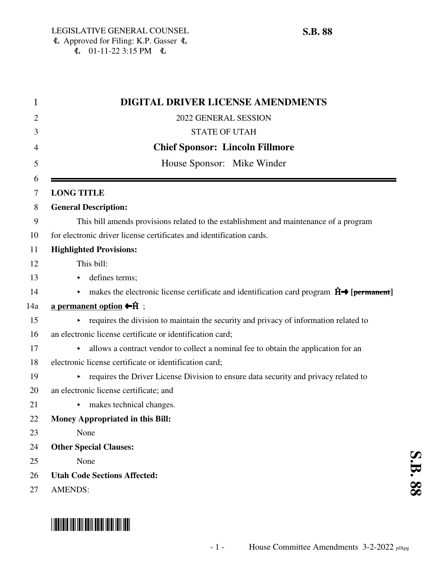| 1              | <b>DIGITAL DRIVER LICENSE AMENDMENTS</b>                                                                                              |
|----------------|---------------------------------------------------------------------------------------------------------------------------------------|
| $\overline{2}$ | 2022 GENERAL SESSION                                                                                                                  |
| 3              | <b>STATE OF UTAH</b>                                                                                                                  |
| 4              | <b>Chief Sponsor: Lincoln Fillmore</b>                                                                                                |
| 5              | House Sponsor: Mike Winder                                                                                                            |
| 6<br>7         | <b>LONG TITLE</b>                                                                                                                     |
| 8              | <b>General Description:</b>                                                                                                           |
| 9              | This bill amends provisions related to the establishment and maintenance of a program                                                 |
| 10             | for electronic driver license certificates and identification cards.                                                                  |
| 11             | <b>Highlighted Provisions:</b>                                                                                                        |
| 12             | This bill:                                                                                                                            |
| 13             | defines terms;<br>▶                                                                                                                   |
| 14             | makes the electronic license certificate and identification card program $\hat{H} \rightarrow$ [permanent]<br>$\blacktriangleright$ . |
| 14a            | a permanent option $\bigoplus$ ;                                                                                                      |
| 15             | requires the division to maintain the security and privacy of information related to<br>$\blacktriangleright$                         |
| 16             | an electronic license certificate or identification card;                                                                             |
| 17             | allows a contract vendor to collect a nominal fee to obtain the application for an                                                    |
| 18             | electronic license certificate or identification card;                                                                                |
| 19             | requires the Driver License Division to ensure data security and privacy related to<br>▶.                                             |
| 20             | an electronic license certificate; and                                                                                                |
| 21             | makes technical changes.<br>▶                                                                                                         |
| 22             | <b>Money Appropriated in this Bill:</b>                                                                                               |
| 23             | None                                                                                                                                  |
| 24             | <b>Other Special Clauses:</b>                                                                                                         |
| 25             | None                                                                                                                                  |
| 26             | <b>Utah Code Sections Affected:</b>                                                                                                   |
| 27             | <b>AMENDS:</b>                                                                                                                        |

## \*SB0088\*

**S.B. 88**